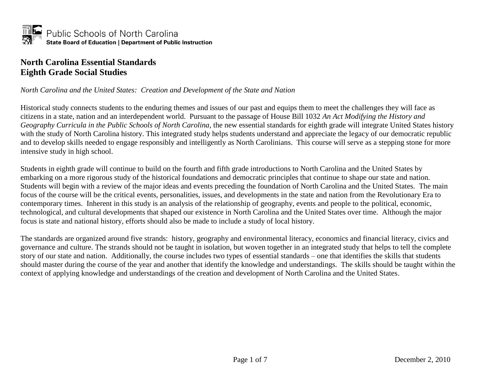

#### **North Carolina Essential Standards Eighth Grade Social Studies**

#### *North Carolina and the United States: Creation and Development of the State and Nation*

Historical study connects students to the enduring themes and issues of our past and equips them to meet the challenges they will face as citizens in a state, nation and an interdependent world. Pursuant to the passage of House Bill 1032 *An Act Modifying the History and Geography Curricula in the Public Schools of North Carolina,* the new essential standards for eighth grade will integrate United States history with the study of North Carolina history. This integrated study helps students understand and appreciate the legacy of our democratic republic and to develop skills needed to engage responsibly and intelligently as North Carolinians. This course will serve as a stepping stone for more intensive study in high school.

Students in eighth grade will continue to build on the fourth and fifth grade introductions to North Carolina and the United States by embarking on a more rigorous study of the historical foundations and democratic principles that continue to shape our state and nation. Students will begin with a review of the major ideas and events preceding the foundation of North Carolina and the United States. The main focus of the course will be the critical events, personalities, issues, and developments in the state and nation from the Revolutionary Era to contemporary times. Inherent in this study is an analysis of the relationship of geography, events and people to the political, economic, technological, and cultural developments that shaped our existence in North Carolina and the United States over time. Although the major focus is state and national history, efforts should also be made to include a study of local history.

The standards are organized around five strands: history, geography and environmental literacy, economics and financial literacy, civics and governance and culture. The strands should not be taught in isolation, but woven together in an integrated study that helps to tell the complete story of our state and nation. Additionally, the course includes two types of essential standards – one that identifies the skills that students should master during the course of the year and another that identify the knowledge and understandings. The skills should be taught within the context of applying knowledge and understandings of the creation and development of North Carolina and the United States.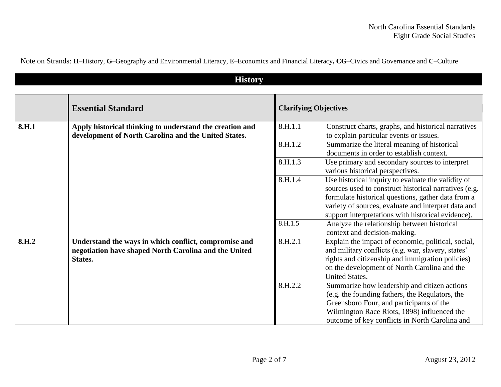| Note on Strands: H-History, G-Geography and Environmental Literacy, E-Economics and Financial Literacy, CG-Civics and Governance and C-Culture |  |  |  |  |
|------------------------------------------------------------------------------------------------------------------------------------------------|--|--|--|--|
|                                                                                                                                                |  |  |  |  |

**History** 

| <u>LIISTUI y</u> |                                                                                                                           |                              |                                                                                                                                                                                                                                                                                |  |  |
|------------------|---------------------------------------------------------------------------------------------------------------------------|------------------------------|--------------------------------------------------------------------------------------------------------------------------------------------------------------------------------------------------------------------------------------------------------------------------------|--|--|
|                  | <b>Essential Standard</b>                                                                                                 | <b>Clarifying Objectives</b> |                                                                                                                                                                                                                                                                                |  |  |
| 8.H.1            | Apply historical thinking to understand the creation and<br>development of North Carolina and the United States.          | 8.H.1.1                      | Construct charts, graphs, and historical narratives<br>to explain particular events or issues.                                                                                                                                                                                 |  |  |
|                  |                                                                                                                           | 8.H.1.2                      | Summarize the literal meaning of historical<br>documents in order to establish context.                                                                                                                                                                                        |  |  |
|                  |                                                                                                                           | 8.H.1.3                      | Use primary and secondary sources to interpret<br>various historical perspectives.                                                                                                                                                                                             |  |  |
|                  |                                                                                                                           | 8.H.1.4                      | Use historical inquiry to evaluate the validity of<br>sources used to construct historical narratives (e.g.<br>formulate historical questions, gather data from a<br>variety of sources, evaluate and interpret data and<br>support interpretations with historical evidence). |  |  |
|                  |                                                                                                                           | 8.H.1.5                      | Analyze the relationship between historical<br>context and decision-making.                                                                                                                                                                                                    |  |  |
| 8.H.2            | Understand the ways in which conflict, compromise and<br>negotiation have shaped North Carolina and the United<br>States. | 8.H.2.1                      | Explain the impact of economic, political, social,<br>and military conflicts (e.g. war, slavery, states'<br>rights and citizenship and immigration policies)<br>on the development of North Carolina and the<br><b>United States.</b>                                          |  |  |
|                  |                                                                                                                           | 8.H.2.2                      | Summarize how leadership and citizen actions<br>(e.g. the founding fathers, the Regulators, the<br>Greensboro Four, and participants of the<br>Wilmington Race Riots, 1898) influenced the<br>outcome of key conflicts in North Carolina and                                   |  |  |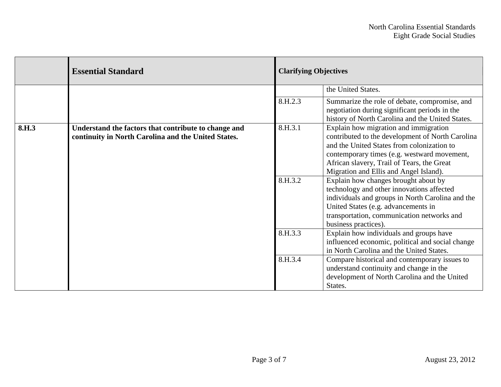|                   | <b>Essential Standard</b>                                                                                   |         | <b>Clarifying Objectives</b>                                                                                                                                                                                                                                                   |  |
|-------------------|-------------------------------------------------------------------------------------------------------------|---------|--------------------------------------------------------------------------------------------------------------------------------------------------------------------------------------------------------------------------------------------------------------------------------|--|
|                   |                                                                                                             |         | the United States.                                                                                                                                                                                                                                                             |  |
|                   |                                                                                                             | 8.H.2.3 | Summarize the role of debate, compromise, and<br>negotiation during significant periods in the<br>history of North Carolina and the United States.                                                                                                                             |  |
| 8.H <sub>.3</sub> | Understand the factors that contribute to change and<br>continuity in North Carolina and the United States. | 8.H.3.1 | Explain how migration and immigration<br>contributed to the development of North Carolina<br>and the United States from colonization to<br>contemporary times (e.g. westward movement,<br>African slavery, Trail of Tears, the Great<br>Migration and Ellis and Angel Island). |  |
|                   |                                                                                                             | 8.H.3.2 | Explain how changes brought about by<br>technology and other innovations affected<br>individuals and groups in North Carolina and the<br>United States (e.g. advancements in<br>transportation, communication networks and<br>business practices).                             |  |
|                   |                                                                                                             | 8.H.3.3 | Explain how individuals and groups have<br>influenced economic, political and social change<br>in North Carolina and the United States.                                                                                                                                        |  |
|                   |                                                                                                             | 8.H.3.4 | Compare historical and contemporary issues to<br>understand continuity and change in the<br>development of North Carolina and the United<br>States.                                                                                                                            |  |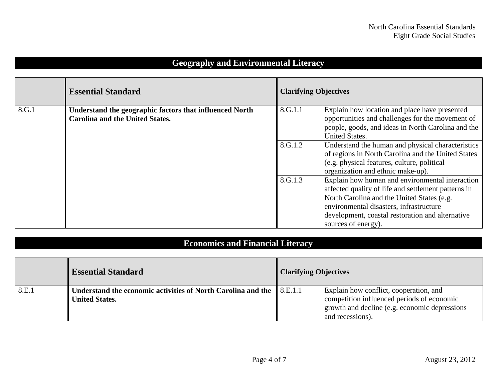|       | <b>Essential Standard</b>                                                                         | <b>Clarifying Objectives</b> |                                                                                                                                                                                                                                                                            |
|-------|---------------------------------------------------------------------------------------------------|------------------------------|----------------------------------------------------------------------------------------------------------------------------------------------------------------------------------------------------------------------------------------------------------------------------|
| 8.G.1 | Understand the geographic factors that influenced North<br><b>Carolina and the United States.</b> | 8.G.1.1                      | Explain how location and place have presented<br>opportunities and challenges for the movement of<br>people, goods, and ideas in North Carolina and the<br><b>United States.</b>                                                                                           |
|       |                                                                                                   | 8.G.1.2                      | Understand the human and physical characteristics<br>of regions in North Carolina and the United States<br>$(c.g. physical features, culture, political)$<br>organization and ethnic make-up).                                                                             |
|       |                                                                                                   | 8.G.1.3                      | Explain how human and environmental interaction<br>affected quality of life and settlement patterns in<br>North Carolina and the United States (e.g.<br>environmental disasters, infrastructure<br>development, coastal restoration and alternative<br>sources of energy). |

### **Geography and Environmental Literacy**

# **Economics and Financial Literacy**

|       | <b>Essential Standard</b>                                    | <b>Clarifying Objectives</b> |                                                |
|-------|--------------------------------------------------------------|------------------------------|------------------------------------------------|
| 8.E.1 | Understand the economic activities of North Carolina and the | $\mathbf{8}.\mathbf{E}.1.1$  | Explain how conflict, cooperation, and         |
|       | <b>United States.</b>                                        |                              | competition influenced periods of economic     |
|       |                                                              |                              | growth and decline (e.g. economic depressions) |
|       |                                                              |                              | and recessions).                               |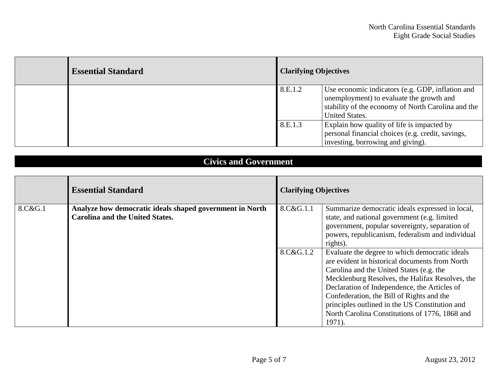| <b>Essential Standard</b> | <b>Clarifying Objectives</b> |                                                                                                                                                                             |
|---------------------------|------------------------------|-----------------------------------------------------------------------------------------------------------------------------------------------------------------------------|
|                           | 8.E.1.2                      | Use economic indicators (e.g. GDP, inflation and<br>unemployment) to evaluate the growth and<br>stability of the economy of North Carolina and the<br><b>United States.</b> |
|                           | 8.E.1.3                      | Explain how quality of life is impacted by<br>personal financial choices (e.g. credit, savings,<br>investing, borrowing and giving).                                        |

## **Civics and Government**

|         | <b>Essential Standard</b>                                                                          | <b>Clarifying Objectives</b> |                                                                                                                                                                                                                                                                                                                                                                                                            |  |
|---------|----------------------------------------------------------------------------------------------------|------------------------------|------------------------------------------------------------------------------------------------------------------------------------------------------------------------------------------------------------------------------------------------------------------------------------------------------------------------------------------------------------------------------------------------------------|--|
| 8.C&G.1 | Analyze how democratic ideals shaped government in North<br><b>Carolina and the United States.</b> | 8.C&G.1.1                    | Summarize democratic ideals expressed in local,<br>state, and national government (e.g. limited<br>government, popular sovereignty, separation of<br>powers, republicanism, federalism and individual<br>rights).                                                                                                                                                                                          |  |
|         |                                                                                                    | 8.C&G.1.2                    | Evaluate the degree to which democratic ideals<br>are evident in historical documents from North<br>Carolina and the United States (e.g. the<br>Mecklenburg Resolves, the Halifax Resolves, the<br>Declaration of Independence, the Articles of<br>Confederation, the Bill of Rights and the<br>principles outlined in the US Constitution and<br>North Carolina Constitutions of 1776, 1868 and<br>1971). |  |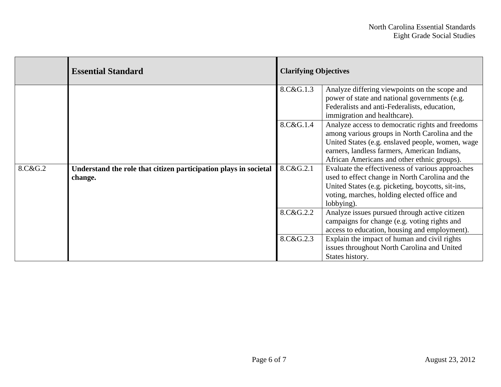|         | <b>Essential Standard</b>                                                   | <b>Clarifying Objectives</b> |                                                                                                                                                                                                                                                       |  |
|---------|-----------------------------------------------------------------------------|------------------------------|-------------------------------------------------------------------------------------------------------------------------------------------------------------------------------------------------------------------------------------------------------|--|
|         |                                                                             | 8.C&G.1.3                    | Analyze differing viewpoints on the scope and<br>power of state and national governments (e.g.<br>Federalists and anti-Federalists, education,<br>immigration and healthcare).                                                                        |  |
|         |                                                                             | 8.C&G.1.4                    | Analyze access to democratic rights and freedoms<br>among various groups in North Carolina and the<br>United States (e.g. enslaved people, women, wage<br>earners, landless farmers, American Indians,<br>African Americans and other ethnic groups). |  |
| 8.C&G.2 | Understand the role that citizen participation plays in societal<br>change. | 8.C&G.2.1                    | Evaluate the effectiveness of various approaches<br>used to effect change in North Carolina and the<br>United States (e.g. picketing, boycotts, sit-ins,<br>voting, marches, holding elected office and<br>lobbying).                                 |  |
|         |                                                                             | 8.C&G.2.2                    | Analyze issues pursued through active citizen<br>campaigns for change (e.g. voting rights and<br>access to education, housing and employment).                                                                                                        |  |
|         |                                                                             | 8.C&G.2.3                    | Explain the impact of human and civil rights<br>issues throughout North Carolina and United<br>States history.                                                                                                                                        |  |